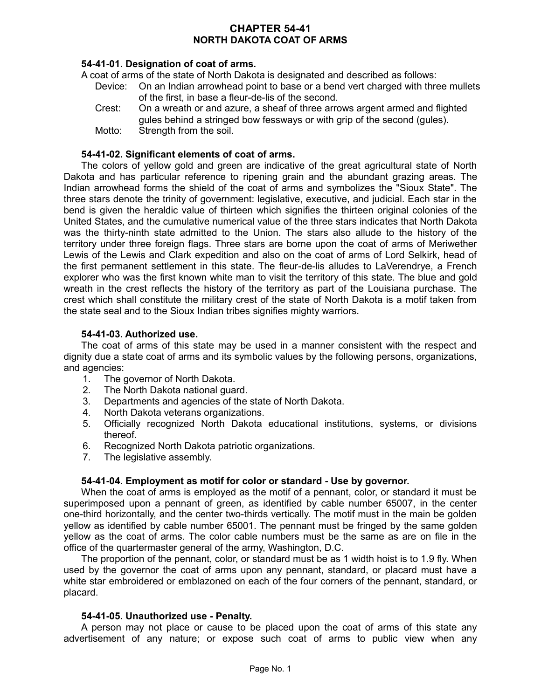# **CHAPTER 54-41 NORTH DAKOTA COAT OF ARMS**

# **54-41-01. Designation of coat of arms.**

A coat of arms of the state of North Dakota is designated and described as follows:

- Device: On an Indian arrowhead point to base or a bend vert charged with three mullets of the first, in base a fleur-de-lis of the second.
- Crest: On a wreath or and azure, a sheaf of three arrows argent armed and flighted gules behind a stringed bow fessways or with grip of the second (gules).
- Motto: Strength from the soil.

### **54-41-02. Significant elements of coat of arms.**

The colors of yellow gold and green are indicative of the great agricultural state of North Dakota and has particular reference to ripening grain and the abundant grazing areas. The Indian arrowhead forms the shield of the coat of arms and symbolizes the "Sioux State". The three stars denote the trinity of government: legislative, executive, and judicial. Each star in the bend is given the heraldic value of thirteen which signifies the thirteen original colonies of the United States, and the cumulative numerical value of the three stars indicates that North Dakota was the thirty-ninth state admitted to the Union. The stars also allude to the history of the territory under three foreign flags. Three stars are borne upon the coat of arms of Meriwether Lewis of the Lewis and Clark expedition and also on the coat of arms of Lord Selkirk, head of the first permanent settlement in this state. The fleur-de-lis alludes to LaVerendrye, a French explorer who was the first known white man to visit the territory of this state. The blue and gold wreath in the crest reflects the history of the territory as part of the Louisiana purchase. The crest which shall constitute the military crest of the state of North Dakota is a motif taken from the state seal and to the Sioux Indian tribes signifies mighty warriors.

### **54-41-03. Authorized use.**

The coat of arms of this state may be used in a manner consistent with the respect and dignity due a state coat of arms and its symbolic values by the following persons, organizations, and agencies:

- 1. The governor of North Dakota.
- 2. The North Dakota national guard.
- 3. Departments and agencies of the state of North Dakota.
- 4. North Dakota veterans organizations.
- 5. Officially recognized North Dakota educational institutions, systems, or divisions thereof.
- 6. Recognized North Dakota patriotic organizations.
- 7. The legislative assembly.

# **54-41-04. Employment as motif for color or standard - Use by governor.**

When the coat of arms is employed as the motif of a pennant, color, or standard it must be superimposed upon a pennant of green, as identified by cable number 65007, in the center one-third horizontally, and the center two-thirds vertically. The motif must in the main be golden yellow as identified by cable number 65001. The pennant must be fringed by the same golden yellow as the coat of arms. The color cable numbers must be the same as are on file in the office of the quartermaster general of the army, Washington, D.C.

The proportion of the pennant, color, or standard must be as 1 width hoist is to 1.9 fly. When used by the governor the coat of arms upon any pennant, standard, or placard must have a white star embroidered or emblazoned on each of the four corners of the pennant, standard, or placard.

#### **54-41-05. Unauthorized use - Penalty.**

A person may not place or cause to be placed upon the coat of arms of this state any advertisement of any nature; or expose such coat of arms to public view when any